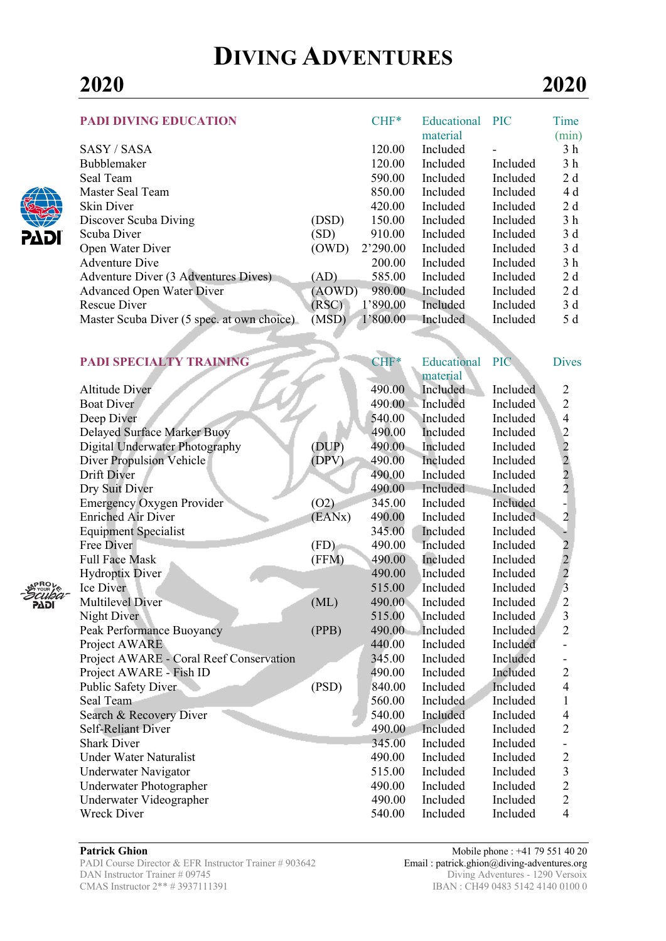# **DIVING ADVENTURES**

| <b>PADI DIVING EDUCATION</b>               |        | $CHF*$   | Educational | <b>PIC</b> | Time           |
|--------------------------------------------|--------|----------|-------------|------------|----------------|
|                                            |        |          | material    |            | (min)          |
| SASY / SASA                                |        | 120.00   | Included    |            | 3 <sub>h</sub> |
| <b>Bubblemaker</b>                         |        | 120.00   | Included    | Included   | 3 h            |
| Seal Team                                  |        | 590.00   | Included    | Included   | 2 d            |
| Master Seal Team                           |        | 850.00   | Included    | Included   | 4 d            |
| Skin Diver                                 |        | 420.00   | Included    | Included   | 2d             |
| Discover Scuba Diving                      | (DSD)  | 150.00   | Included    | Included   | 3 <sub>h</sub> |
| Scuba Diver                                | (SD)   | 910.00   | Included    | Included   | 3d             |
| Open Water Diver                           | (OWD)  | 2'290.00 | Included    | Included   | 3d             |
| <b>Adventure Dive</b>                      |        | 200.00   | Included    | Included   | 3 <sub>h</sub> |
| Adventure Diver (3 Adventures Dives)       | (AD)   | 585.00   | Included    | Included   | 2 d            |
| <b>Advanced Open Water Diver</b>           | (AOWD) | 980.00   | Included    | Included   | 2 d            |
| Rescue Diver                               | (RSC)  | 1'890.00 | Included    | Included   | 3d             |
| Master Scuba Diver (5 spec. at own choice) | (MSD)  | 1'800.00 | Included    | Included   | 5 d            |
|                                            |        |          |             |            |                |
|                                            |        |          |             |            |                |

| <b>PADI SPECIALTY TRAINING</b>          |        | CHF*   | Educational | PIC      | <b>Dives</b>                                      |
|-----------------------------------------|--------|--------|-------------|----------|---------------------------------------------------|
|                                         |        |        | material    |          |                                                   |
| <b>Altitude Diver</b>                   |        | 490.00 | Included    | Included | $\overline{c}$                                    |
| <b>Boat Diver</b>                       |        | 490.00 | Included    | Included | $\overline{2}$                                    |
| Deep Diver                              |        | 540.00 | Included    | Included | $\overline{4}$                                    |
| Delayed Surface Marker Buoy             |        | 490.00 | Included    | Included |                                                   |
| Digital Underwater Photography          | (DUP)  | 490.00 | Included    | Included |                                                   |
| <b>Diver Propulsion Vehicle</b>         | (DPV)  | 490.00 | Included    | Included |                                                   |
| Drift Diver                             |        | 490.00 | Included    | Included | $\begin{array}{c}\n2 \\ 2 \\ 2 \\ 2\n\end{array}$ |
| Dry Suit Diver                          |        | 490.00 | Included    | Included |                                                   |
| <b>Emergency Oxygen Provider</b>        | (O2)   | 345.00 | Included    | Included |                                                   |
| <b>Enriched Air Diver</b>               | (EANx) | 490.00 | Included    | Included | $\overline{2}$                                    |
| <b>Equipment Specialist</b>             |        | 345.00 | Included    | Included | ÷                                                 |
| Free Diver                              | (FD)   | 490.00 | Included    | Included |                                                   |
| <b>Full Face Mask</b>                   | (FFM)  | 490.00 | Included    | Included | $\frac{2}{2}$                                     |
| <b>Hydroptix Diver</b>                  |        | 490.00 | Included    | Included |                                                   |
| Ice Diver                               |        | 515.00 | Included    | Included | $\overline{3}$                                    |
| <b>Multilevel Diver</b>                 | (ML)   | 490.00 | Included    | Included | $\overline{2}$                                    |
| Night Diver                             |        | 515.00 | Included    | Included | $\overline{\mathbf{3}}$                           |
| Peak Performance Buoyancy               | (PPB)  | 490.00 | Included    | Included | $\overline{2}$                                    |
| Project AWARE                           |        | 440.00 | Included    | Included |                                                   |
| Project AWARE - Coral Reef Conservation |        | 345.00 | Included    | Included |                                                   |
| Project AWARE - Fish ID                 |        | 490.00 | Included    | Included | $\overline{2}$                                    |
| Public Safety Diver                     | (PSD)  | 840.00 | Included    | Included | $\overline{4}$                                    |
| Seal Team                               |        | 560.00 | Included    | Included | $\mathbf{1}$                                      |
| Search & Recovery Diver                 |        | 540.00 | Included    | Included | $\overline{4}$                                    |
| <b>Self-Reliant Diver</b>               |        | 490.00 | Included    | Included | $\overline{2}$                                    |
| <b>Shark Diver</b>                      |        | 345.00 | Included    | Included |                                                   |
| <b>Under Water Naturalist</b>           |        | 490.00 | Included    | Included | $\overline{c}$                                    |
| Underwater Navigator                    |        | 515.00 | Included    | Included | $\overline{\mathbf{3}}$                           |
| Underwater Photographer                 |        | 490.00 | Included    | Included | $\overline{2}$                                    |
| Underwater Videographer                 |        | 490.00 | Included    | Included | $\overline{2}$                                    |
| <b>Wreck Diver</b>                      |        | 540.00 | Included    | Included | $\overline{4}$                                    |
|                                         |        |        |             |          |                                                   |